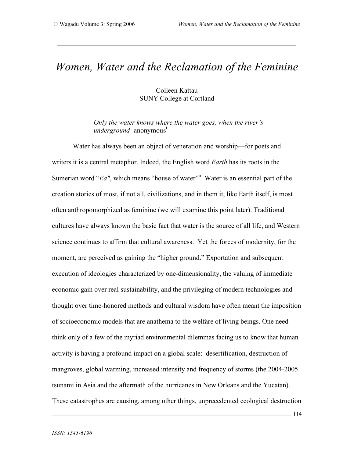# *Women, Water and the Reclamation of the Feminine*

### Colleen Kattau SUNY College at Cortland

*Only the water knows where the water goes, when the river's underground-* anonymous i

Water has always been an object of veneration and worship—for poets and writers it is a central metaphor. Indeed, the English word *Earth* has its roots in the Sumerian word "*Ea"*, which means "house of water"<sup>ii</sup>. Water is an essential part of the creation stories of most, if not all, civilizations, and in them it, like Earth itself, is most often anthropomorphized as feminine (we will examine this point later). Traditional cultures have always known the basic fact that water is the source of all life, and Western science continues to affirm that cultural awareness. Yet the forces of modernity, for the moment, are perceived as gaining the "higher ground." Exportation and subsequent execution of ideologies characterized by one-dimensionality, the valuing of immediate economic gain over real sustainability, and the privileging of modern technologies and thought over time-honored methods and cultural wisdom have often meant the imposition of socioeconomic models that are anathema to the welfare of living beings. One need think only of a few of the myriad environmental dilemmas facing us to know that human activity is having a profound impact on a global scale: desertification, destruction of mangroves, global warming, increased intensity and frequency of storms (the 2004-2005 tsunami in Asia and the aftermath of the hurricanes in New Orleans and the Yucatan). These catastrophes are causing, among other things, unprecedented ecological destruction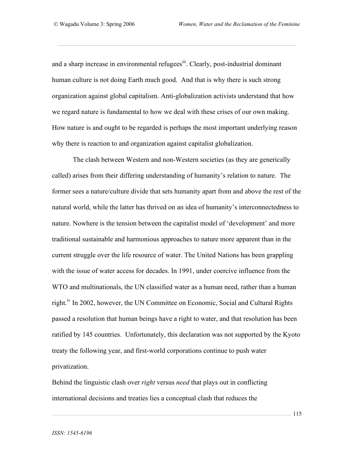and a sharp increase in environmental refugees<sup>iii</sup>. Clearly, post-industrial dominant human culture is not doing Earth much good. And that is why there is such strong organization against global capitalism. Anti-globalization activists understand that how we regard nature is fundamental to how we deal with these crises of our own making. How nature is and ought to be regarded is perhaps the most important underlying reason why there is reaction to and organization against capitalist globalization.

The clash between Western and non-Western societies (as they are generically called) arises from their differing understanding of humanity's relation to nature. The former sees a nature/culture divide that sets humanity apart from and above the rest of the natural world, while the latter has thrived on an idea of humanity's interconnectedness to nature. Nowhere is the tension between the capitalist model of 'development' and more traditional sustainable and harmonious approaches to nature more apparent than in the current struggle over the life resource of water. The United Nations has been grappling with the issue of water access for decades. In 1991, under coercive influence from the WTO and multinationals, the UN classified water as a human need, rather than a human right.<sup>iv</sup> In 2002, however, the UN Committee on Economic, Social and Cultural Rights passed a resolution that human beings have a right to water, and that resolution has been ratified by 145 countries. Unfortunately, this declaration was not supported by the Kyoto treaty the following year, and first-world corporations continue to push water privatization.

Behind the linguistic clash over *right* versus *need* that plays out in conflicting international decisions and treaties lies a conceptual clash that reduces the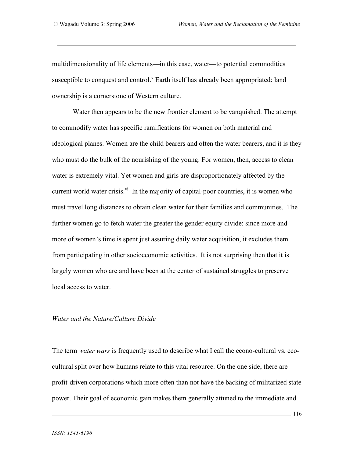multidimensionality of life elements—in this case, water—to potential commodities susceptible to conquest and control.<sup>V</sup> Earth itself has already been appropriated: land ownership is a cornerstone of Western culture.

Water then appears to be the new frontier element to be vanquished. The attempt to commodify water has specific ramifications for women on both material and ideological planes. Women are the child bearers and often the water bearers, and it is they who must do the bulk of the nourishing of the young. For women, then, access to clean water is extremely vital. Yet women and girls are disproportionately affected by the current world water crisis.<sup>vi</sup> In the majority of capital-poor countries, it is women who must travel long distances to obtain clean water for their families and communities. The further women go to fetch water the greater the gender equity divide: since more and more of women's time is spent just assuring daily water acquisition, it excludes them from participating in other socioeconomic activities. It is not surprising then that it is largely women who are and have been at the center of sustained struggles to preserve local access to water.

#### *Water and the Nature/Culture Divide*

The term *water wars* is frequently used to describe what I call the econo-cultural vs. ecocultural split over how humans relate to this vital resource. On the one side, there are profit-driven corporations which more often than not have the backing of militarized state power. Their goal of economic gain makes them generally attuned to the immediate and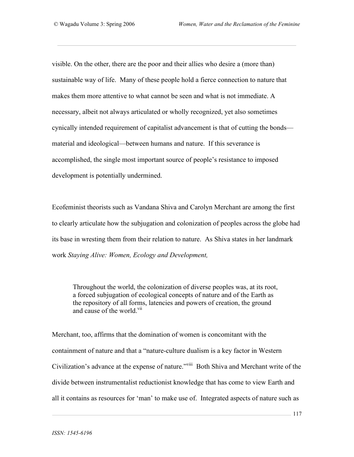visible. On the other, there are the poor and their allies who desire a (more than) sustainable way of life. Many of these people hold a fierce connection to nature that makes them more attentive to what cannot be seen and what is not immediate. A necessary, albeit not always articulated or wholly recognized, yet also sometimes cynically intended requirement of capitalist advancement is that of cutting the bonds material and ideological—between humans and nature. If this severance is accomplished, the single most important source of people's resistance to imposed development is potentially undermined.

Ecofeminist theorists such as Vandana Shiva and Carolyn Merchant are among the first to clearly articulate how the subjugation and colonization of peoples across the globe had its base in wresting them from their relation to nature. As Shiva states in her landmark work *Staying Alive: Women, Ecology and Development,*

Throughout the world, the colonization of diverse peoples was, at its root, a forced subjugation of ecological concepts of nature and of the Earth as the repository of all forms, latencies and powers of creation, the ground and cause of the world.<sup>vii</sup>

Merchant, too, affirms that the domination of women is concomitant with the containment of nature and that a "nature-culture dualism is a key factor in Western Civilization's advance at the expense of nature."<sup>viii</sup> Both Shiva and Merchant write of the divide between instrumentalist reductionist knowledge that has come to view Earth and all it contains as resources for 'man' to make use of. Integrated aspects of nature such as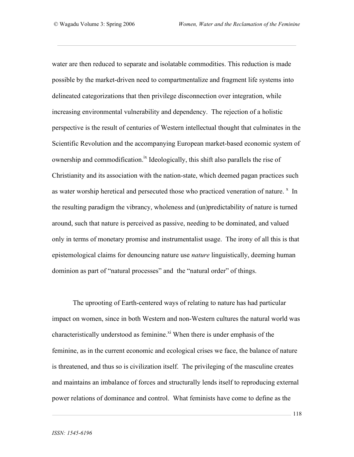water are then reduced to separate and isolatable commodities. This reduction is made possible by the market-driven need to compartmentalize and fragment life systems into delineated categorizations that then privilege disconnection over integration, while increasing environmental vulnerability and dependency. The rejection of a holistic perspective is the result of centuries of Western intellectual thought that culminates in the Scientific Revolution and the accompanying European market-based economic system of ownership and commodification.<sup>ix</sup> Ideologically, this shift also parallels the rise of Christianity and its association with the nation-state, which deemed pagan practices such as water worship heretical and persecuted those who practiced veneration of nature.  $x \in \mathbb{R}$  In the resulting paradigm the vibrancy, wholeness and (un)predictability of nature is turned around, such that nature is perceived as passive, needing to be dominated, and valued only in terms of monetary promise and instrumentalist usage. The irony of all this is that epistemological claims for denouncing nature use *nature* linguistically, deeming human dominion as part of "natural processes" and the "natural order" of things.

The uprooting of Earth-centered ways of relating to nature has had particular impact on women, since in both Western and non-Western cultures the natural world was characteristically understood as feminine.<sup>xi</sup> When there is under emphasis of the feminine, as in the current economic and ecological crises we face, the balance of nature is threatened, and thus so is civilization itself. The privileging of the masculine creates and maintains an imbalance of forces and structurally lends itself to reproducing external power relations of dominance and control. What feminists have come to define as the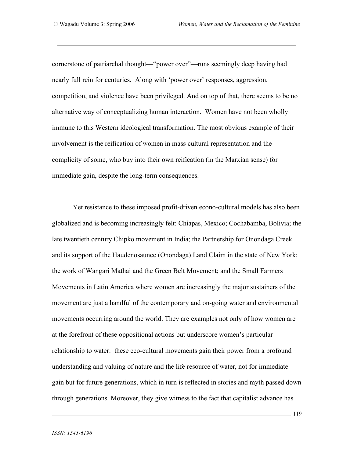cornerstone of patriarchal thought—"power over"—runs seemingly deep having had nearly full rein for centuries. Along with 'power over' responses, aggression, competition, and violence have been privileged. And on top of that, there seems to be no alternative way of conceptualizing human interaction. Women have not been wholly immune to this Western ideological transformation. The most obvious example of their involvement is the reification of women in mass cultural representation and the complicity of some, who buy into their own reification (in the Marxian sense) for immediate gain, despite the long-term consequences.

Yet resistance to these imposed profit-driven econo-cultural models has also been globalized and is becoming increasingly felt: Chiapas, Mexico; Cochabamba, Bolivia; the late twentieth century Chipko movement in India; the Partnership for Onondaga Creek and its support of the Haudenosaunee (Onondaga) Land Claim in the state of New York; the work of Wangari Mathai and the Green Belt Movement; and the Small Farmers Movements in Latin America where women are increasingly the major sustainers of the movement are just a handful of the contemporary and on-going water and environmental movements occurring around the world. They are examples not only of how women are at the forefront of these oppositional actions but underscore women's particular relationship to water: these eco-cultural movements gain their power from a profound understanding and valuing of nature and the life resource of water, not for immediate gain but for future generations, which in turn is reflected in stories and myth passed down through generations. Moreover, they give witness to the fact that capitalist advance has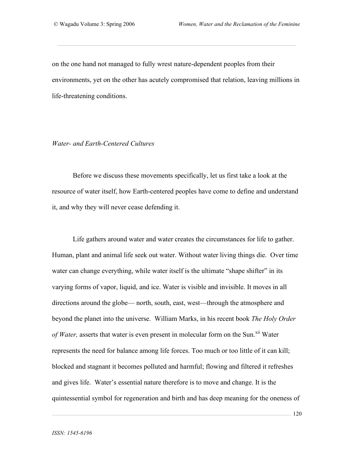on the one hand not managed to fully wrest nature-dependent peoples from their environments, yet on the other has acutely compromised that relation, leaving millions in life-threatening conditions.

#### *Water- and Earth-Centered Cultures*

Before we discuss these movements specifically, let us first take a look at the resource of water itself, how Earth-centered peoples have come to define and understand it, and why they will never cease defending it.

Life gathers around water and water creates the circumstances for life to gather. Human, plant and animal life seek out water. Without water living things die. Over time water can change everything, while water itself is the ultimate "shape shifter" in its varying forms of vapor, liquid, and ice. Water is visible and invisible. It moves in all directions around the globe— north, south, east, west—through the atmosphere and beyond the planet into the universe. William Marks, in his recent book *The Holy Order* of Water, asserts that water is even present in molecular form on the Sun.<sup>xii</sup> Water represents the need for balance among life forces. Too much or too little of it can kill; blocked and stagnant it becomes polluted and harmful; flowing and filtered it refreshes and gives life. Water's essential nature therefore is to move and change. It is the quintessential symbol for regeneration and birth and has deep meaning for the oneness of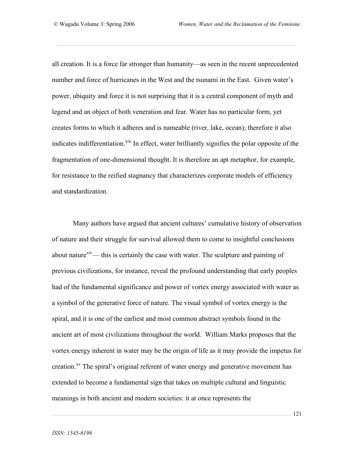all creation. It is a force far stronger than humanity—as seen in the recent unprecedented number and force of hurricanes in the West and the tsunami in the East. Given water's power, ubiquity and force it is not surprising that it is a central component of myth and legend and an object of both veneration and fear. Water has no particular form, yet creates forms to which it adheres and is nameable (river, lake, ocean); therefore it also indicates indifferentiation.<sup>xiii</sup> In effect, water brilliantly signifies the polar opposite of the fragmentation of one-dimensional thought. It is therefore an apt metaphor, for example, for resistance to the reified stagnancy that characterizes corporate models of efficiency and standardization.

Many authors have argued that ancient cultures' cumulative history of observation of nature and their struggle for survival allowed them to come to insightful conclusions about nature<sup>xiv</sup>— this is certainly the case with water. The sculpture and painting of previous civilizations, for instance, reveal the profound understanding that early peoples had of the fundamental significance and power of vortex energy associated with water as a symbol of the generative force of nature. The visual symbol of vortex energy is the spiral, and it is one of the earliest and most common abstract symbols found in the ancient art of most civilizations throughout the world. William Marks proposes that the vortex energy inherent in water may be the origin of life as it may provide the impetus for creation.<sup>xv</sup> The spiral's original referent of water energy and generative movement has extended to become a fundamental sign that takes on multiple cultural and linguistic meanings in both ancient and modern societies: it at once represents the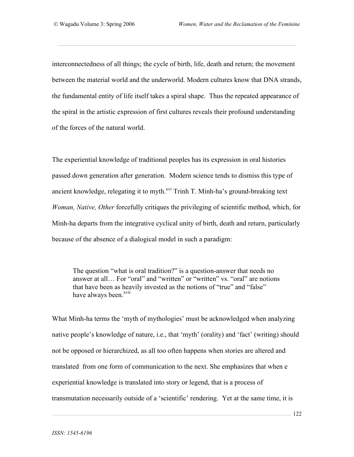interconnectedness of all things; the cycle of birth, life, death and return; the movement between the material world and the underworld. Modern cultures know that DNA strands, the fundamental entity of life itself takes a spiral shape. Thus the repeated appearance of the spiral in the artistic expression of first cultures reveals their profound understanding of the forces of the natural world.

The experiential knowledge of traditional peoples has its expression in oral histories passed down generation after generation. Modern science tends to dismiss this type of ancient knowledge, relegating it to myth. $xvi$  Trinh T. Minh-ha's ground-breaking text *Woman, Native, Other* forcefully critiques the privileging of scientific method, which, for Minh-ha departs from the integrative cyclical unity of birth, death and return, particularly because of the absence of a dialogical model in such a paradigm:

The question "what is oral tradition?" is a question-answer that needs no answer at all… For "oral" and "written" or "written" vs. "oral" are notions that have been as heavily invested as the notions of "true" and "false" have always been.<sup>xvii</sup>

What Minh-ha terms the 'myth of mythologies' must be acknowledged when analyzing native people's knowledge of nature, i.e., that 'myth' (orality) and 'fact' (writing) should not be opposed or hierarchized, as all too often happens when stories are altered and translated from one form of communication to the next. She emphasizes that when e experiential knowledge is translated into story or legend, that is a process of transmutation necessarily outside of a 'scientific' rendering. Yet at the same time, it is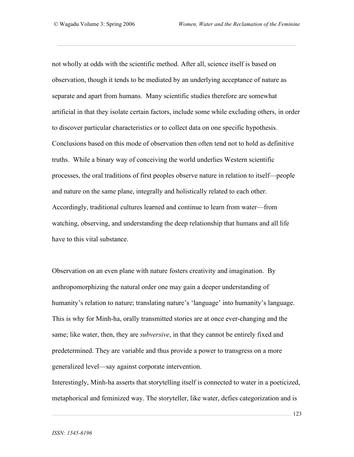not wholly at odds with the scientific method. After all, science itself is based on observation, though it tends to be mediated by an underlying acceptance of nature as separate and apart from humans. Many scientific studies therefore are somewhat artificial in that they isolate certain factors, include some while excluding others, in order to discover particular characteristics or to collect data on one specific hypothesis. Conclusions based on this mode of observation then often tend not to hold as definitive truths. While a binary way of conceiving the world underlies Western scientific processes, the oral traditions of first peoples observe nature in relation to itself—people and nature on the same plane, integrally and holistically related to each other. Accordingly, traditional cultures learned and continue to learn from water—from watching, observing, and understanding the deep relationship that humans and all life have to this vital substance.

Observation on an even plane with nature fosters creativity and imagination. By anthropomorphizing the natural order one may gain a deeper understanding of humanity's relation to nature; translating nature's 'language' into humanity's language. This is why for Minh-ha, orally transmitted stories are at once ever-changing and the same; like water, then, they are *subversive*, in that they cannot be entirely fixed and predetermined. They are variable and thus provide a power to transgress on a more generalized level—say against corporate intervention.

Interestingly, Minh-ha asserts that storytelling itself is connected to water in a poeticized, metaphorical and feminized way. The storyteller, like water, defies categorization and is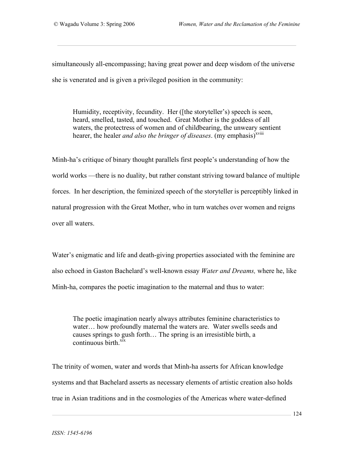simultaneously all-encompassing; having great power and deep wisdom of the universe she is venerated and is given a privileged position in the community:

Humidity, receptivity, fecundity. Her ([the storyteller's) speech is seen, heard, smelled, tasted, and touched. Great Mother is the goddess of all waters, the protectress of women and of childbearing, the unweary sentient hearer, the healer *and also the bringer of diseases*. (my emphasis)<sup>xviii</sup>

Minh-ha's critique of binary thought parallels first people's understanding of how the world works —there is no duality, but rather constant striving toward balance of multiple forces. In her description, the feminized speech of the storyteller is perceptibly linked in natural progression with the Great Mother, who in turn watches over women and reigns over all waters.

Water's enigmatic and life and death-giving properties associated with the feminine are also echoed in Gaston Bachelard's well-known essay *Water and Dreams,* where he, like Minh-ha, compares the poetic imagination to the maternal and thus to water:

The poetic imagination nearly always attributes feminine characteristics to water… how profoundly maternal the waters are. Water swells seeds and causes springs to gush forth… The spring is an irresistible birth, a continuous birth. $\frac{xx}{xx}$ 

The trinity of women, water and words that Minh-ha asserts for African knowledge systems and that Bachelard asserts as necessary elements of artistic creation also holds true in Asian traditions and in the cosmologies of the Americas where water-defined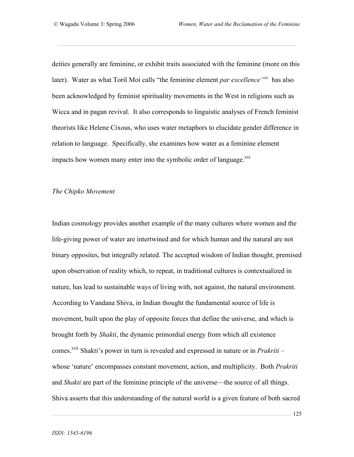deities generally are feminine, or exhibit traits associated with the feminine (more on this later). Water as what Toril Moi calls "the feminine element *par excellence"xx* has also been acknowledged by feminist spirituality movements in the West in religions such as Wicca and in pagan revival. It also corresponds to linguistic analyses of French feminist theorists like Helene Cixous, who uses water metaphors to elucidate gender difference in relation to language. Specifically, she examines how water as a feminine element impacts how women many enter into the symbolic order of language.<sup>xxi</sup>

#### *The Chipko Movement*

Indian cosmology provides another example of the many cultures where women and the life-giving power of water are intertwined and for which human and the natural are not binary opposites, but integrally related. The accepted wisdom of Indian thought, premised upon observation of reality which, to repeat, in traditional cultures is contextualized in nature, has lead to sustainable ways of living with, not against, the natural environment. According to Vandana Shiva, in Indian thought the fundamental source of life is movement, built upon the play of opposite forces that define the universe, and which is brought forth by *Shakti*, the dynamic primordial energy from which all existence comes.<sup>xxii</sup> Shakti's power in turn is revealed and expressed in nature or in *Prakriti* – whose 'nature' encompasses constant movement, action, and multiplicity. Both *Prakriti* and *Shakti* are part of the feminine principle of the universe—the source of all things. Shiva asserts that this understanding of the natural world is a given feature of both sacred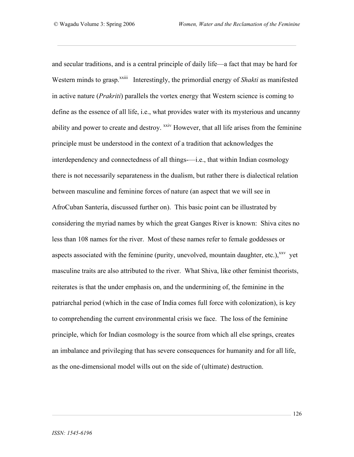and secular traditions, and is a central principle of daily life—a fact that may be hard for Western minds to grasp.<sup>xxiii</sup> Interestingly, the primordial energy of *Shakti* as manifested in active nature (*Prakriti*) parallels the vortex energy that Western science is coming to define as the essence of all life, i.e., what provides water with its mysterious and uncanny ability and power to create and destroy. <sup>xxiv</sup> However, that all life arises from the feminine principle must be understood in the context of a tradition that acknowledges the interdependency and connectedness of all things-—i.e., that within Indian cosmology there is not necessarily separateness in the dualism, but rather there is dialectical relation between masculine and feminine forces of nature (an aspect that we will see in AfroCuban Santería, discussed further on). This basic point can be illustrated by considering the myriad names by which the great Ganges River is known: Shiva cites no less than 108 names for the river. Most of these names refer to female goddesses or aspects associated with the feminine (purity, unevolved, mountain daughter, etc.), xxv yet masculine traits are also attributed to the river. What Shiva, like other feminist theorists, reiterates is that the under emphasis on, and the undermining of, the feminine in the patriarchal period (which in the case of India comes full force with colonization), is key to comprehending the current environmental crisis we face. The loss of the feminine principle, which for Indian cosmology is the source from which all else springs, creates an imbalance and privileging that has severe consequences for humanity and for all life, as the one-dimensional model wills out on the side of (ultimate) destruction.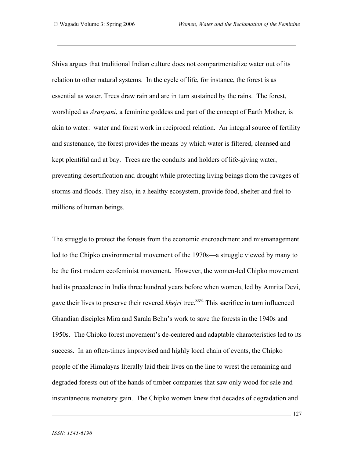Shiva argues that traditional Indian culture does not compartmentalize water out of its relation to other natural systems. In the cycle of life, for instance, the forest is as essential as water. Trees draw rain and are in turn sustained by the rains. The forest, worshiped as *Aranyani*, a feminine goddess and part of the concept of Earth Mother, is akin to water: water and forest work in reciprocal relation. An integral source of fertility and sustenance, the forest provides the means by which water is filtered, cleansed and kept plentiful and at bay. Trees are the conduits and holders of life-giving water, preventing desertification and drought while protecting living beings from the ravages of storms and floods. They also, in a healthy ecosystem, provide food, shelter and fuel to millions of human beings.

The struggle to protect the forests from the economic encroachment and mismanagement led to the Chipko environmental movement of the 1970s—a struggle viewed by many to be the first modern ecofeminist movement. However, the women-led Chipko movement had its precedence in India three hundred years before when women, led by Amrita Devi, gave their lives to preserve their revered *khejri* tree.<sup>xxvi</sup> This sacrifice in turn influenced Ghandian disciples Mira and Sarala Behn's work to save the forests in the 1940s and 1950s. The Chipko forest movement's de-centered and adaptable characteristics led to its success. In an often-times improvised and highly local chain of events, the Chipko people of the Himalayas literally laid their lives on the line to wrest the remaining and degraded forests out of the hands of timber companies that saw only wood for sale and instantaneous monetary gain. The Chipko women knew that decades of degradation and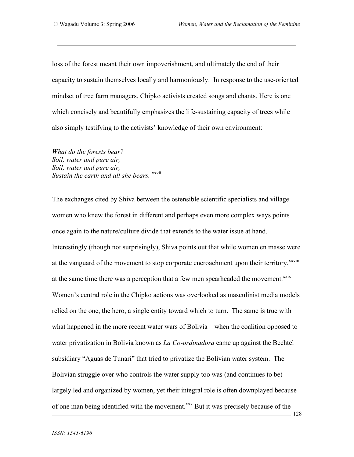128

loss of the forest meant their own impoverishment, and ultimately the end of their capacity to sustain themselves locally and harmoniously. In response to the use-oriented mindset of tree farm managers, Chipko activists created songs and chants. Here is one which concisely and beautifully emphasizes the life-sustaining capacity of trees while also simply testifying to the activists' knowledge of their own environment:

*What do the forests bear? Soil, water and pure air, Soil, water and pure air,* Sustain the earth and all she bears. <sup>xxvii</sup>

The exchanges cited by Shiva between the ostensible scientific specialists and village women who knew the forest in different and perhaps even more complex ways points once again to the nature/culture divide that extends to the water issue at hand. Interestingly (though not surprisingly), Shiva points out that while women en masse were at the vanguard of the movement to stop corporate encroachment upon their territory,<sup>xxviii</sup> at the same time there was a perception that a few men spearheaded the movement.<sup>xxix</sup> Women's central role in the Chipko actions was overlooked as masculinist media models relied on the one, the hero, a single entity toward which to turn. The same is true with what happened in the more recent water wars of Bolivia—when the coalition opposed to water privatization in Bolivia known as *La Co-ordinadora* came up against the Bechtel subsidiary "Aguas de Tunari" that tried to privatize the Bolivian water system. The Bolivian struggle over who controls the water supply too was (and continues to be) largely led and organized by women, yet their integral role is often downplayed because of one man being identified with the movement.<sup>xxx</sup> But it was precisely because of the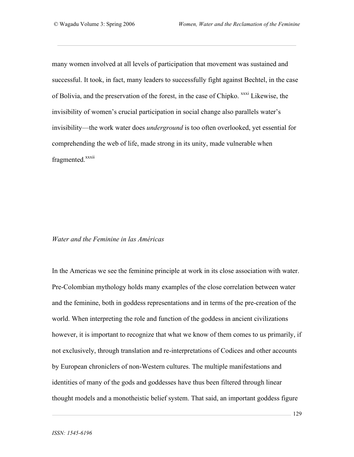many women involved at all levels of participation that movement was sustained and successful. It took, in fact, many leaders to successfully fight against Bechtel, in the case of Bolivia, and the preservation of the forest, in the case of Chipko. <sup>xxxi</sup> Likewise, the invisibility of women's crucial participation in social change also parallels water's invisibility—the work water does *underground* is too often overlooked, yet essential for comprehending the web of life, made strong in its unity, made vulnerable when fragmented.<sup>xxxii</sup>

#### *Water and the Feminine in las Américas*

In the Americas we see the feminine principle at work in its close association with water. Pre-Colombian mythology holds many examples of the close correlation between water and the feminine, both in goddess representations and in terms of the pre-creation of the world. When interpreting the role and function of the goddess in ancient civilizations however, it is important to recognize that what we know of them comes to us primarily, if not exclusively, through translation and re-interpretations of Codices and other accounts by European chroniclers of non-Western cultures. The multiple manifestations and identities of many of the gods and goddesses have thus been filtered through linear thought models and a monotheistic belief system. That said, an important goddess figure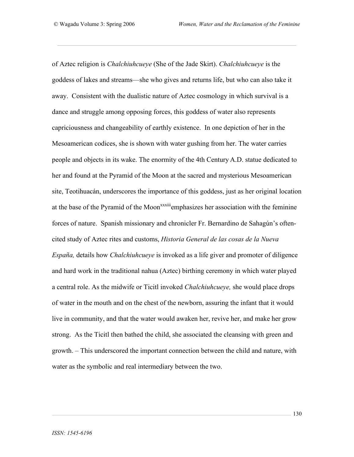of Aztec religion is *Chalchiuhcueye* (She of the Jade Skirt). *Chalchiuhcueye* is the goddess of lakes and streams—she who gives and returns life, but who can also take it away. Consistent with the dualistic nature of Aztec cosmology in which survival is a dance and struggle among opposing forces, this goddess of water also represents capriciousness and changeability of earthly existence. In one depiction of her in the Mesoamerican codices, she is shown with water gushing from her. The water carries people and objects in its wake. The enormity of the 4th Century A.D. statue dedicated to her and found at the Pyramid of the Moon at the sacred and mysterious Mesoamerican site, Teotihuacán, underscores the importance of this goddess, just as her original location at the base of the Pyramid of the Moon<sup>xxxiii</sup> emphasizes her association with the feminine forces of nature. Spanish missionary and chronicler Fr. Bernardino de Sahagún's oftencited study of Aztec rites and customs, *Historia General de las cosas de la Nueva España,* details how *Chalchiuhcueye* is invoked as a life giver and promoter of diligence and hard work in the traditional nahua (Aztec) birthing ceremony in which water played a central role. As the midwife or Ticitl invoked *Chalchiuhcueye,* she would place drops of water in the mouth and on the chest of the newborn, assuring the infant that it would live in community, and that the water would awaken her, revive her, and make her grow strong. As the Ticitl then bathed the child, she associated the cleansing with green and growth. – This underscored the important connection between the child and nature, with water as the symbolic and real intermediary between the two.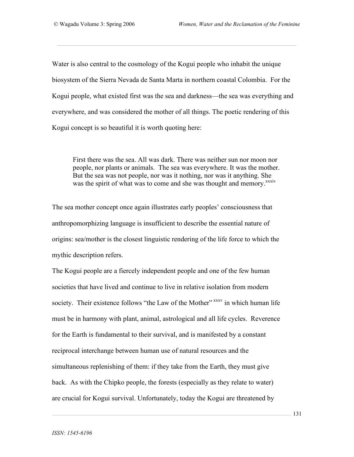Water is also central to the cosmology of the Kogui people who inhabit the unique biosystem of the Sierra Nevada de Santa Marta in northern coastal Colombia. For the Kogui people, what existed first was the sea and darkness—the sea was everything and everywhere, and was considered the mother of all things. The poetic rendering of this Kogui concept is so beautiful it is worth quoting here:

First there was the sea. All was dark. There was neither sun nor moon nor people, nor plants or animals. The sea was everywhere. It was the mother. But the sea was not people, nor was it nothing, nor was it anything. She was the spirit of what was to come and she was thought and memory.<sup>xxxiv</sup>

The sea mother concept once again illustrates early peoples' consciousness that anthropomorphizing language is insufficient to describe the essential nature of origins: sea/mother is the closest linguistic rendering of the life force to which the mythic description refers.

The Kogui people are a fiercely independent people and one of the few human societies that have lived and continue to live in relative isolation from modern society. Their existence follows "the Law of the Mother" xxxv in which human life must be in harmony with plant, animal, astrological and all life cycles. Reverence for the Earth is fundamental to their survival, and is manifested by a constant reciprocal interchange between human use of natural resources and the simultaneous replenishing of them: if they take from the Earth, they must give back. As with the Chipko people, the forests (especially as they relate to water) are crucial for Kogui survival. Unfortunately, today the Kogui are threatened by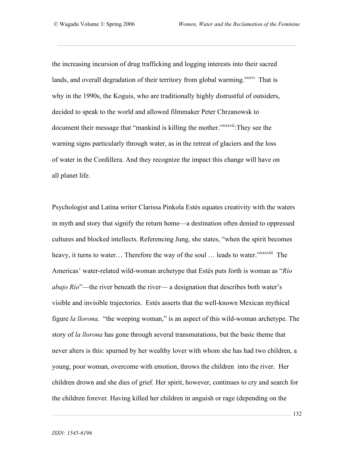the increasing incursion of drug trafficking and logging interests into their sacred lands, and overall degradation of their territory from global warming.<sup>xxxvi</sup> That is why in the 1990s, the Koguis, who are traditionally highly distrustful of outsiders, decided to speak to the world and allowed filmmaker Peter Chrzanowsk to document their message that "mankind is killing the mother."<sup>xxxxvii</sup>:They see the warning signs particularly through water, as in the retreat of glaciers and the loss of water in the Cordillera. And they recognize the impact this change will have on all planet life.

Psychologist and Latina writer Clarissa Pinkola Estés equates creativity with the waters in myth and story that signify the return home—a destination often denied to oppressed cultures and blocked intellects. Referencing Jung, she states, "when the spirit becomes heavy, it turns to water... Therefore the way of the soul ... leads to water."<sup>xxxxviii</sup> The Americas' water-related wild-woman archetype that Estés puts forth is woman as "*Río abajo Río*"—the river beneath the river— a designation that describes both water's visible and invisible trajectories. Estés asserts that the well-known Mexican mythical figure *la llorona,* "the weeping woman," is an aspect of this wild-woman archetype. The story of *la llorona* has gone through several transmutations, but the basic theme that never alters is this: spurned by her wealthy lover with whom she has had two children, a young, poor woman, overcome with emotion, throws the children into the river. Her children drown and she dies of grief. Her spirit, however, continues to cry and search for the children forever. Having killed her children in anguish or rage (depending on the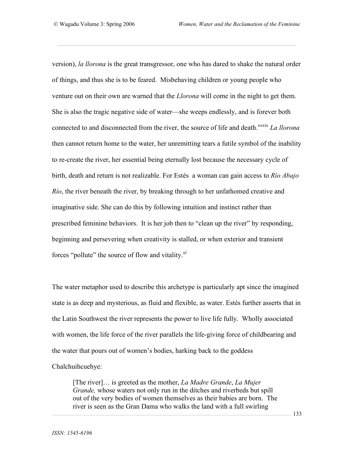version), *la llorona* is the great transgressor, one who has dared to shake the natural order of things, and thus she is to be feared. Misbehaving children or young people who venture out on their own are warned that the *Llorona* will come in the night to get them. She is also the tragic negative side of water—she weeps endlessly, and is forever both connected to and disconnected from the river, the source of life and death.<sup>xxxix</sup> *La llorona* then cannot return home to the water, her unremitting tears a futile symbol of the inability to re-create the river, her essential being eternally lost because the necessary cycle of birth, death and return is not realizable. For Estés a woman can gain access to *Río Abajo Río*, the river beneath the river, by breaking through to her unfathomed creative and imaginative side. She can do this by following intuition and instinct rather than prescribed feminine behaviors. It is her job then to "clean up the river" by responding, beginning and persevering when creativity is stalled, or when exterior and transient forces "pollute" the source of flow and vitality.<sup>xl</sup>

The water metaphor used to describe this archetype is particularly apt since the imagined state is as deep and mysterious, as fluid and flexible, as water. Estés further asserts that in the Latin Southwest the river represents the power to live life fully. Wholly associated with women, the life force of the river parallels the life-giving force of childbearing and the water that pours out of women's bodies, harking back to the goddess Chalchuihcuehye:

[The river]… is greeted as the mother, *La Madre Grande*, *La Mujer Grande,* whose waters not only run in the ditches and riverbeds but spill out of the very bodies of women themselves as their babies are born. The river is seen as the Gran Dama who walks the land with a full swirling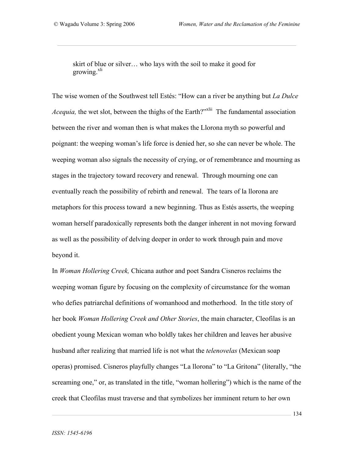skirt of blue or silver… who lays with the soil to make it good for growing.<sup>xli</sup>

The wise women of the Southwest tell Estés: "How can a river be anything but *La Dulce Acequia*, the wet slot, between the thighs of the Earth?"<sup>xlii</sup> The fundamental association between the river and woman then is what makes the Llorona myth so powerful and poignant: the weeping woman's life force is denied her, so she can never be whole. The weeping woman also signals the necessity of crying, or of remembrance and mourning as stages in the trajectory toward recovery and renewal. Through mourning one can eventually reach the possibility of rebirth and renewal. The tears of la llorona are metaphors for this process toward a new beginning. Thus as Estés asserts, the weeping woman herself paradoxically represents both the danger inherent in not moving forward as well as the possibility of delving deeper in order to work through pain and move beyond it.

In *Woman Hollering Creek,* Chicana author and poet Sandra Cisneros reclaims the weeping woman figure by focusing on the complexity of circumstance for the woman who defies patriarchal definitions of womanhood and motherhood. In the title story of her book *Woman Hollering Creek and Other Stories*, the main character, Cleofilas is an obedient young Mexican woman who boldly takes her children and leaves her abusive husband after realizing that married life is not what the *telenovelas* (Mexican soap operas) promised. Cisneros playfully changes "La llorona" to "La Gritona" (literally, "the screaming one," or, as translated in the title, "woman hollering") which is the name of the creek that Cleofilas must traverse and that symbolizes her imminent return to her own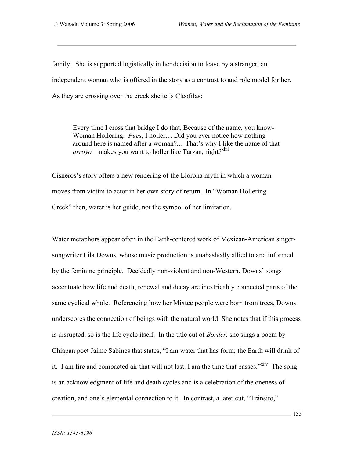family. She is supported logistically in her decision to leave by a stranger, an independent woman who is offered in the story as a contrast to and role model for her. As they are crossing over the creek she tells Cleofilas:

Every time I cross that bridge I do that, Because of the name, you know-Woman Hollering. *Pues*, I holler… Did you ever notice how nothing around here is named after a woman?... That's why I like the name of that arroyo—makes you want to holler like Tarzan, right?<sup>xliii</sup>

Cisneros's story offers a new rendering of the Llorona myth in which a woman moves from victim to actor in her own story of return. In "Woman Hollering Creek" then, water is her guide, not the symbol of her limitation.

Water metaphors appear often in the Earth-centered work of Mexican-American singersongwriter Lila Downs, whose music production is unabashedly allied to and informed by the feminine principle. Decidedly non-violent and non-Western, Downs' songs accentuate how life and death, renewal and decay are inextricably connected parts of the same cyclical whole. Referencing how her Mixtec people were born from trees, Downs underscores the connection of beings with the natural world. She notes that if this process is disrupted, so is the life cycle itself. In the title cut of *Border,* she sings a poem by Chiapan poet Jaime Sabines that states, "I am water that has form; the Earth will drink of it. I am fire and compacted air that will not last. I am the time that passes."<sup>xliv</sup> The song is an acknowledgment of life and death cycles and is a celebration of the oneness of creation, and one's elemental connection to it. In contrast, a later cut, "Tránsito,"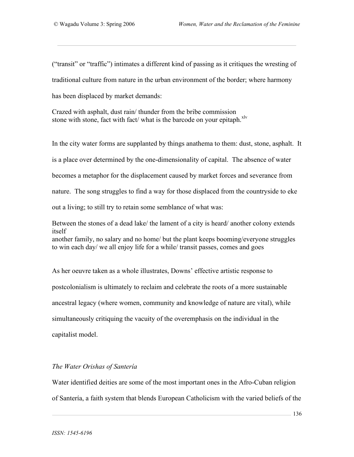("transit" or "traffic") intimates a different kind of passing as it critiques the wresting of traditional culture from nature in the urban environment of the border; where harmony has been displaced by market demands:

Crazed with asphalt, dust rain/ thunder from the bribe commission stone with stone, fact with fact/ what is the barcode on your epitaph.<sup>xlv</sup>

In the city water forms are supplanted by things anathema to them: dust, stone, asphalt. It is a place over determined by the one-dimensionality of capital. The absence of water becomes a metaphor for the displacement caused by market forces and severance from nature. The song struggles to find a way for those displaced from the countryside to eke out a living; to still try to retain some semblance of what was:

Between the stones of a dead lake/ the lament of a city is heard/ another colony extends itself another family, no salary and no home/ but the plant keeps booming/everyone struggles to win each day/ we all enjoy life for a while/ transit passes, comes and goes

As her oeuvre taken as a whole illustrates, Downs' effective artistic response to postcolonialism is ultimately to reclaim and celebrate the roots of a more sustainable ancestral legacy (where women, community and knowledge of nature are vital), while simultaneously critiquing the vacuity of the overemphasis on the individual in the capitalist model.

## *The Water Orishas of Santería*

Water identified deities are some of the most important ones in the Afro-Cuban religion of Santería, a faith system that blends European Catholicism with the varied beliefs of the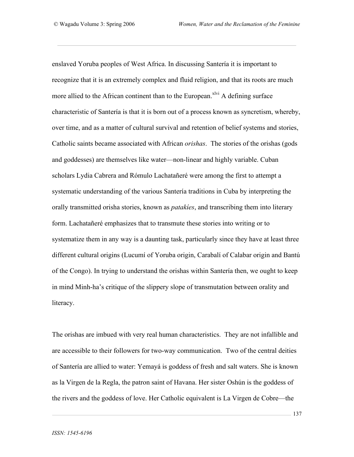enslaved Yoruba peoples of West Africa. In discussing Santería it is important to recognize that it is an extremely complex and fluid religion, and that its roots are much more allied to the African continent than to the European.<sup>xlvi</sup> A defining surface characteristic of Santería is that it is born out of a process known as syncretism, whereby, over time, and as a matter of cultural survival and retention of belief systems and stories, Catholic saints became associated with African *orishas*. The stories of the orishas (gods and goddesses) are themselves like water—non-linear and highly variable. Cuban scholars Lydia Cabrera and Rómulo Lachatañeré were among the first to attempt a systematic understanding of the various Santería traditions in Cuba by interpreting the orally transmitted orisha stories, known as *patakíes*, and transcribing them into literary form. Lachatañeré emphasizes that to transmute these stories into writing or to systematize them in any way is a daunting task, particularly since they have at least three different cultural origins (Lucumí of Yoruba origin, Carabalí of Calabar origin and Bantú of the Congo). In trying to understand the orishas within Santería then, we ought to keep in mind Minh-ha's critique of the slippery slope of transmutation between orality and literacy.

The orishas are imbued with very real human characteristics. They are not infallible and are accessible to their followers for two-way communication. Two of the central deities of Santería are allied to water: Yemayá is goddess of fresh and salt waters. She is known as la Virgen de la Regla, the patron saint of Havana. Her sister Oshún is the goddess of the rivers and the goddess of love. Her Catholic equivalent is La Virgen de Cobre—the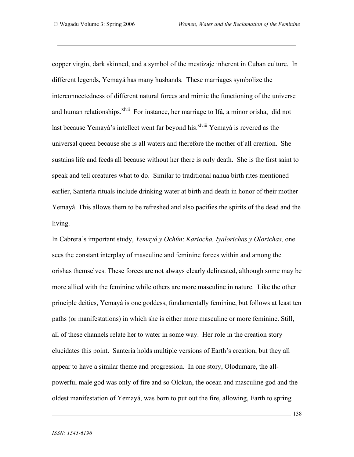copper virgin, dark skinned, and a symbol of the mestizaje inherent in Cuban culture. In different legends, Yemayá has many husbands. These marriages symbolize the interconnectedness of different natural forces and mimic the functioning of the universe and human relationships.<sup>xlvii</sup> For instance, her marriage to Ifá, a minor orisha, did not last because Yemayá's intellect went far beyond his.<sup>xlviii</sup> Yemayá is revered as the universal queen because she is all waters and therefore the mother of all creation. She sustains life and feeds all because without her there is only death. She is the first saint to speak and tell creatures what to do. Similar to traditional nahua birth rites mentioned earlier, Santería rituals include drinking water at birth and death in honor of their mother Yemayá. This allows them to be refreshed and also pacifies the spirits of the dead and the living.

In Cabrera's important study, *Yemayá y Ochún*: *Kariocha, Iyalorichas y Olorichas,* one sees the constant interplay of masculine and feminine forces within and among the orishas themselves. These forces are not always clearly delineated, although some may be more allied with the feminine while others are more masculine in nature. Like the other principle deities, Yemayá is one goddess, fundamentally feminine, but follows at least ten paths (or manifestations) in which she is either more masculine or more feminine. Still, all of these channels relate her to water in some way. Her role in the creation story elucidates this point. Santeria holds multiple versions of Earth's creation, but they all appear to have a similar theme and progression. In one story, Olodumare, the allpowerful male god was only of fire and so Olokun, the ocean and masculine god and the oldest manifestation of Yemayá, was born to put out the fire, allowing, Earth to spring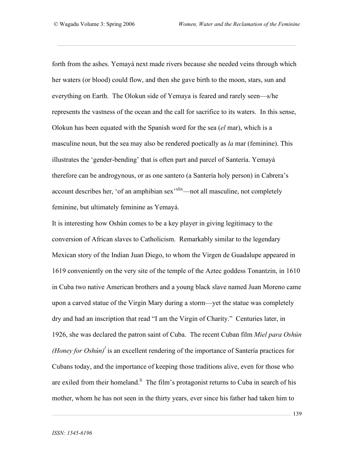forth from the ashes. Yemayá next made rivers because she needed veins through which her waters (or blood) could flow, and then she gave birth to the moon, stars, sun and everything on Earth. The Olokun side of Yemaya is feared and rarely seen—s/he represents the vastness of the ocean and the call for sacrifice to its waters. In this sense, Olokun has been equated with the Spanish word for the sea (*el* mar), which is a masculine noun, but the sea may also be rendered poetically as *la* mar (feminine). This illustrates the 'gender-bending' that is often part and parcel of Santería. Yemayá therefore can be androgynous, or as one santero (a Santería holy person) in Cabrera's account describes her, 'of an amphibian sex<sup>-xlix</sup>—not all masculine, not completely feminine, but ultimately feminine as Yemayá.

It is interesting how Oshún comes to be a key player in giving legitimacy to the conversion of African slaves to Catholicism. Remarkably similar to the legendary Mexican story of the Indian Juan Diego, to whom the Virgen de Guadalupe appeared in 1619 conveniently on the very site of the temple of the Aztec goddess Tonantzin, in 1610 in Cuba two native American brothers and a young black slave named Juan Moreno came upon a carved statue of the Virgin Mary during a storm—yet the statue was completely dry and had an inscription that read "I am the Virgin of Charity." Centuries later, in 1926, she was declared the patron saint of Cuba. The recent Cuban film *Miel para Oshún (Honey for Oshún)<sup>* $l$ *</sup>* is an excellent rendering of the importance of Santería practices for Cubans today, and the importance of keeping those traditions alive, even for those who are exiled from their homeland.<sup> $\parallel$ </sup> The film's protagonist returns to Cuba in search of his mother, whom he has not seen in the thirty years, ever since his father had taken him to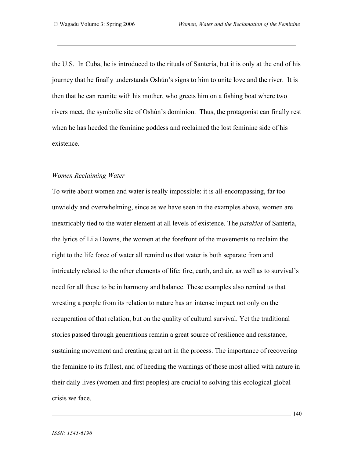the U.S. In Cuba, he is introduced to the rituals of Santería, but it is only at the end of his journey that he finally understands Oshún's signs to him to unite love and the river. It is then that he can reunite with his mother, who greets him on a fishing boat where two rivers meet, the symbolic site of Oshún's dominion. Thus, the protagonist can finally rest when he has heeded the feminine goddess and reclaimed the lost feminine side of his existence.

#### *Women Reclaiming Water*

To write about women and water is really impossible: it is all-encompassing, far too unwieldy and overwhelming, since as we have seen in the examples above, women are inextricably tied to the water element at all levels of existence. The *patakies* of Santería, the lyrics of Lila Downs, the women at the forefront of the movements to reclaim the right to the life force of water all remind us that water is both separate from and intricately related to the other elements of life: fire, earth, and air, as well as to survival's need for all these to be in harmony and balance. These examples also remind us that wresting a people from its relation to nature has an intense impact not only on the recuperation of that relation, but on the quality of cultural survival. Yet the traditional stories passed through generations remain a great source of resilience and resistance, sustaining movement and creating great art in the process. The importance of recovering the feminine to its fullest, and of heeding the warnings of those most allied with nature in their daily lives (women and first peoples) are crucial to solving this ecological global crisis we face.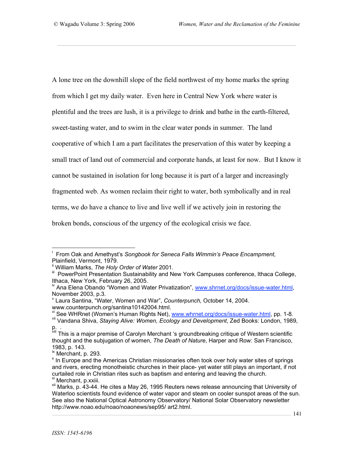A lone tree on the downhill slope of the field northwest of my home marks the spring from which I get my daily water. Even here in Central New York where water is plentiful and the trees are lush, it is a privilege to drink and bathe in the earth-filtered, sweet-tasting water, and to swim in the clear water ponds in summer. The land cooperative of which I am a part facilitates the preservation of this water by keeping a small tract of land out of commercial and corporate hands, at least for now. But I know it cannot be sustained in isolation for long because it is part of a larger and increasingly fragmented web. As women reclaim their right to water, both symbolically and in real terms, we do have a chance to live and live well if we actively join in restoring the broken bonds, conscious of the urgency of the ecological crisis we face.

www.counterpunch.org/santina10142004.html.<br><sup>vi</sup> See WHRnet (Women's Human Rights Net), www.whrnet.org/docs/issue-water.html, pp. 1-8.<br><sup>vii</sup> Vandana Shiva, *Staying Alive: Women, Ecology and Development*, Zed Books: London,

<sup>i</sup> From Oak and Amethyst's *Songbook for Seneca Falls Wimmin's Peace Encampment,*

<sup>&</sup>lt;sup>ii</sup> William Marks, *The Holy Order of Water* 2001.<br><sup>iii</sup> PowerPoint Presentation Sustainability and New York Campuses conference, Ithaca College, Ithaca, New York, February 26, 2005.<br><sup>iv</sup> Ana Elena Obando "Women and Water Privatization", www.shrnet.org/docs/issue-water.html,

November 2003, p.3.<br><sup>v</sup> Laura Santina, "Water, Women and War", *Counterpunch, October 14, 2004.* 

p.<br>wii This is a major premise of Carolyn Merchant 's groundbreaking critique of Western scientific thought and the subjugation of women, *The Death of Nature*, Harper and Row: San Francisco,

<sup>1983,</sup> p. 143.<br><sup>ix</sup> Merchant, p. 293.<br><sup>x</sup> In Europe and the Americas Christian missionaries often took over holy water sites of springs and rivers, erecting monotheistic churches in their place- yet water still plays an important, if not curtailed role in Christian rites such as baptism and entering and leaving the church.<br><sup>xi</sup> Merchant, p.xxiii.<br><sup>xii</sup> Marks, p. 43-44. He cites a May 26, 1995 Reuters news release announcing that University of

Waterloo scientists found evidence of water vapor and steam on cooler sunspot areas of the sun. See also the National Optical Astronomy Observatory/ National Solar Observatory newsletter http://www.noao.edu/noao/noaonews/sep95/ art2.html.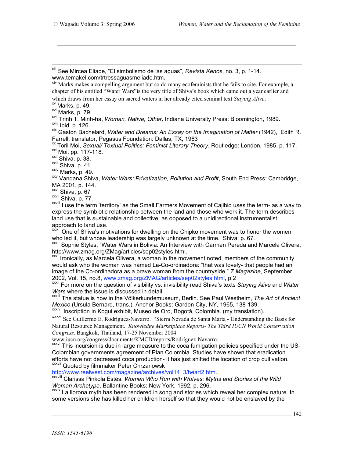xiii See Mircea Eliade, "El simbolismo de las aguas", *Revista Kenos*, no. 3, p. 1-14.

 $x<sub>iv</sub>$  Marks makes a compelling argument but so do many ecofeminists that he fails to cite. For example, a chapter of his entitled "Water Wars"is the very title of Shiva's book which came out a year earlier and

which draws from her essay on sacred waters in her already cited seminal text Staying Alive.<br>
<sup>xv</sup> Marks, p. 49.<br>
<sup>xvi</sup> Marks, p. 79.<br>
<sup>xvii</sup> Trinh T. Minh-ha, *Woman, Native, Other,* Indiana University Press: Bloomington,

Farrell, translator, Pegasus Foundation: Dallas, TX, 1983<br>
<sup>xx</sup> Toril Moi, Sexual/ Textual Politics: Feminist Literary Theory, Routledge: London, 1985, p. 117.<br>
<sup>xxii</sup> Moi, pp. 117-118.<br>
<sup>xxii</sup> Shiva, p. 38.<br>
<sup>xxiii</sup> Shiva

MA 2001, p. 144.<br><sup>xxvi</sup> Shiva, p. 67<br><sup>xxvii</sup> Shiva, p. 77.

xxviii Shirle, p. 77. Xxviii Shirle, p. 77. Xxviii Shirle, p. 77. Xxviii I use the term- as a way to express the symbiotic relationship between the land and those who work it. The term describes land use that is sustainable and collective, as opposed to a unidirectional instrumentalist

approach to land use.<br><sup>xxix</sup> One of Shiva's motivations for dwelling on the Chipko movement was to honor the women<br>who led it, but whose leadership was largely unknown at the time. Shiva, p. 67.

xx Sophie Styles, "Water Wars in Bolivia: An Interview with Carmen Pereda and Marcela Olivera, http://www.zmag.org/ZMag/articles/sep02styles.html.<br>\*\*\*<sup>i</sup> Ironically, as Marcela Olivera, a woman in the movement noted, members of the community

would ask who the woman was named La-Co-ordinadora: "that was lovely- that people had an image of the Co-ordinadora as a brave woman from the countryside." *Z Magazine*, September 2002, Vol. 15, no.8, www.zmag.org/ZMAG/articles/sep02styles.html, p.2

xxxii For more on the question of visibility vs. invisibility read Shiva's texts *Staying Alive* and *Water Wars* where the issue is discussed in detail.<br>xxxiii The statue is now in the Völkerkundemuseum, Berlin. See Paul Westheim, *The Art of Ancient* 

Mexico (Ursula Bernard, trans.), Anchor Books: Garden City, NY, 1965, 138-139.<br><sup>XXXIV</sup> Inscription in Kogui exhibit, Museo de Oro, Bogotá, Colombia. (my translation).<br><sup>XXXV</sup> See Guillermo E. Rodríguez-Navarro. "Sierra Neva

Natural Resource Management. *Knowledge Marketplace Reports- The Third IUCN World Conservation Congress,* Bangkok, Thailand, 17-25 November 2004.<br>www.iucn.org/congress/documents/KMCD/reports/Rodríguez-Navarro.<br><sup>xxxvi</sup> This incursion is due in large measure to the coca fumigation policies specified under the US-

Colombian governments agreement of Plan Colombia. Studies have shown that eradication efforts have not decreased coca production- it has just shifted the location of crop cultivation.<br>xxxvii Quoted by filmmaker Peter Chrzanowsk<br>http://www.reelwest.com/magazine/archives/vol14 3/heart2.htm..

XXXVIII Clarissa Pinkola Estés, Women Who Run with Wolves: Myths and Stories of the Wild Woman Archetype. Ballantine Books: New York. 1992. p. 296.

*Woman I Briefype*, Ballantine Books: New York, 1992, p. 2012, p. 2014, p. 2014, p. 2014, p. 2015. In a stature in song and stories which reveal her complex nature. In some versions she has killed her children herself so that they would not be enslaved by the